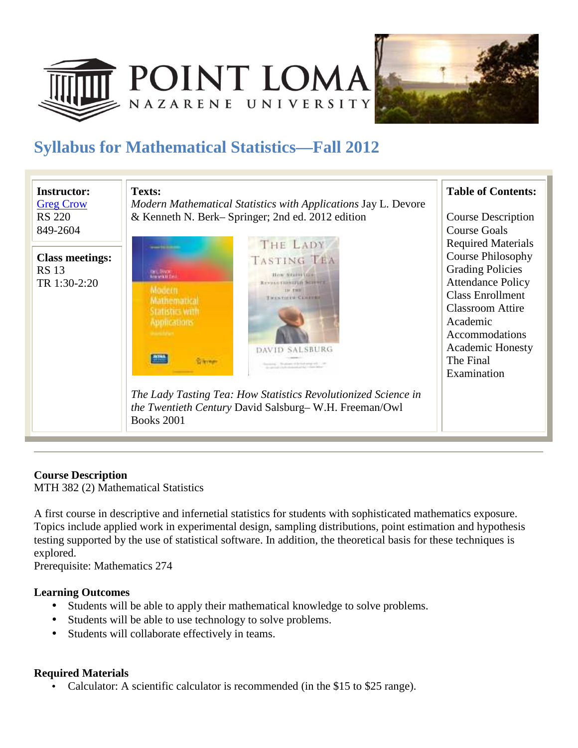



# **Syllabus for Mathematical Statistics—Fall 2012**



## **Course Description**

MTH 382 (2) Mathematical Statistics

A first course in descriptive and infernetial statistics for students with sophisticated mathematics exposure. Topics include applied work in experimental design, sampling distributions, point estimation and hypothesis testing supported by the use of statistical software. In addition, the theoretical basis for these techniques is explored.

Prerequisite: Mathematics 274

## **Learning Outcomes**

- Students will be able to apply their mathematical knowledge to solve problems.
- Students will be able to use technology to solve problems.
- Students will collaborate effectively in teams.

## **Required Materials**

• Calculator: A scientific calculator is recommended (in the \$15 to \$25 range).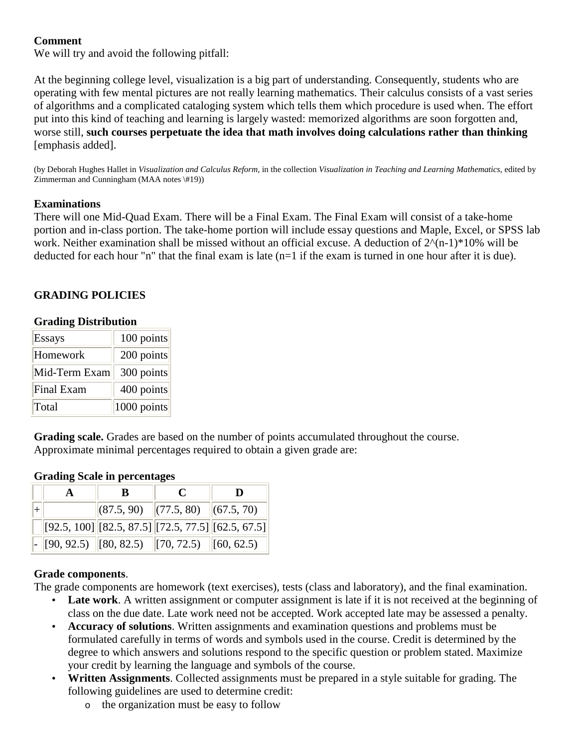# **Comment**

We will try and avoid the following pitfall:

At the beginning college level, visualization is a big part of understanding. Consequently, students who are operating with few mental pictures are not really learning mathematics. Their calculus consists of a vast series of algorithms and a complicated cataloging system which tells them which procedure is used when. The effort put into this kind of teaching and learning is largely wasted: memorized algorithms are soon forgotten and, worse still, **such courses perpetuate the idea that math involves doing calculations rather than thinking** [emphasis added].

(by Deborah Hughes Hallet in *Visualization and Calculus Reform,* in the collection *Visualization in Teaching and Learning Mathematics*, edited by Zimmerman and Cunningham (MAA notes \#19))

#### **Examinations**

There will one Mid-Quad Exam. There will be a Final Exam. The Final Exam will consist of a take-home portion and in-class portion. The take-home portion will include essay questions and Maple, Excel, or SPSS lab work. Neither examination shall be missed without an official excuse. A deduction of  $2^{\wedge}(n-1)^*10$  will be deducted for each hour "n" that the final exam is late  $(n=1$  if the exam is turned in one hour after it is due).

# **GRADING POLICIES**

| <b>Grading Distribution</b> |
|-----------------------------|
|                             |

| <b>Essays</b> | 100 points  |  |  |
|---------------|-------------|--|--|
| Homework      | 200 points  |  |  |
| Mid-Term Exam | 300 points  |  |  |
| Final Exam    | 400 points  |  |  |
| Total         | 1000 points |  |  |

**Grading scale.** Grades are based on the number of points accumulated throughout the course. Approximate minimal percentages required to obtain a given grade are:

|  | B | $\mathcal{C}$                                                                                 | D |  |
|--|---|-----------------------------------------------------------------------------------------------|---|--|
|  |   | $\left  (87.5, 90) \right  \left  (77.5, 80) \right  \left  (67.5, 70) \right $               |   |  |
|  |   | $\left\  [92.5, 100] \right\  [82.5, 87.5] \left\  [72.5, 77.5] \right\  [62.5, 67.5]$        |   |  |
|  |   | $\vert$ - $\vert$ [90, 92.5) $\vert$ [80, 82.5) $\vert$ [70, 72.5) $\vert$ [60, 62.5) $\vert$ |   |  |

## **Grading Scale in percentages**

## **Grade components**.

The grade components are homework (text exercises), tests (class and laboratory), and the final examination.

- Late work. A written assignment or computer assignment is late if it is not received at the beginning of class on the due date. Late work need not be accepted. Work accepted late may be assessed a penalty.
- **Accuracy of solutions**. Written assignments and examination questions and problems must be formulated carefully in terms of words and symbols used in the course. Credit is determined by the degree to which answers and solutions respond to the specific question or problem stated. Maximize your credit by learning the language and symbols of the course.
- **Written Assignments**. Collected assignments must be prepared in a style suitable for grading. The following guidelines are used to determine credit:
	- o the organization must be easy to follow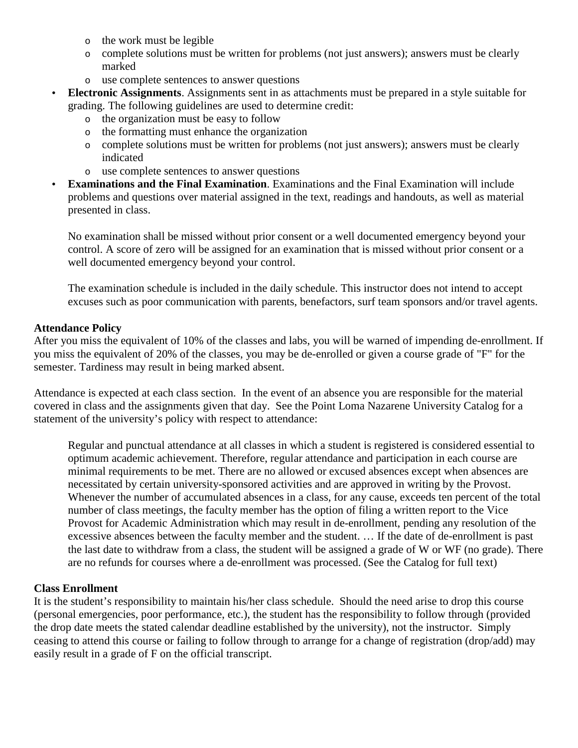- o the work must be legible
- o complete solutions must be written for problems (not just answers); answers must be clearly marked
- o use complete sentences to answer questions
- **Electronic Assignments**. Assignments sent in as attachments must be prepared in a style suitable for grading. The following guidelines are used to determine credit:
	- o the organization must be easy to follow
	- o the formatting must enhance the organization
	- o complete solutions must be written for problems (not just answers); answers must be clearly indicated
	- o use complete sentences to answer questions
- **Examinations and the Final Examination**. Examinations and the Final Examination will include problems and questions over material assigned in the text, readings and handouts, as well as material presented in class.

No examination shall be missed without prior consent or a well documented emergency beyond your control. A score of zero will be assigned for an examination that is missed without prior consent or a well documented emergency beyond your control.

The examination schedule is included in the daily schedule. This instructor does not intend to accept excuses such as poor communication with parents, benefactors, surf team sponsors and/or travel agents.

#### **Attendance Policy**

After you miss the equivalent of 10% of the classes and labs, you will be warned of impending de-enrollment. If you miss the equivalent of 20% of the classes, you may be de-enrolled or given a course grade of "F" for the semester. Tardiness may result in being marked absent.

Attendance is expected at each class section. In the event of an absence you are responsible for the material covered in class and the assignments given that day. See the Point Loma Nazarene University Catalog for a statement of the university's policy with respect to attendance:

Regular and punctual attendance at all classes in which a student is registered is considered essential to optimum academic achievement. Therefore, regular attendance and participation in each course are minimal requirements to be met. There are no allowed or excused absences except when absences are necessitated by certain university-sponsored activities and are approved in writing by the Provost. Whenever the number of accumulated absences in a class, for any cause, exceeds ten percent of the total number of class meetings, the faculty member has the option of filing a written report to the Vice Provost for Academic Administration which may result in de-enrollment, pending any resolution of the excessive absences between the faculty member and the student. … If the date of de-enrollment is past the last date to withdraw from a class, the student will be assigned a grade of W or WF (no grade). There are no refunds for courses where a de-enrollment was processed. (See the Catalog for full text)

#### **Class Enrollment**

It is the student's responsibility to maintain his/her class schedule. Should the need arise to drop this course (personal emergencies, poor performance, etc.), the student has the responsibility to follow through (provided the drop date meets the stated calendar deadline established by the university), not the instructor. Simply ceasing to attend this course or failing to follow through to arrange for a change of registration (drop/add) may easily result in a grade of F on the official transcript.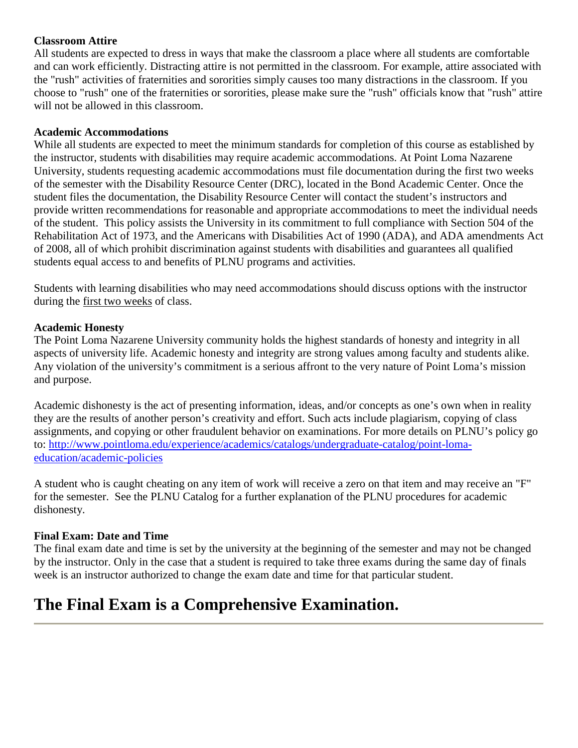## **Classroom Attire**

All students are expected to dress in ways that make the classroom a place where all students are comfortable and can work efficiently. Distracting attire is not permitted in the classroom. For example, attire associated with the "rush" activities of fraternities and sororities simply causes too many distractions in the classroom. If you choose to "rush" one of the fraternities or sororities, please make sure the "rush" officials know that "rush" attire will not be allowed in this classroom.

#### **Academic Accommodations**

While all students are expected to meet the minimum standards for completion of this course as established by the instructor, students with disabilities may require academic accommodations. At Point Loma Nazarene University, students requesting academic accommodations must file documentation during the first two weeks of the semester with the Disability Resource Center (DRC), located in the Bond Academic Center. Once the student files the documentation, the Disability Resource Center will contact the student's instructors and provide written recommendations for reasonable and appropriate accommodations to meet the individual needs of the student. This policy assists the University in its commitment to full compliance with Section 504 of the Rehabilitation Act of 1973, and the Americans with Disabilities Act of 1990 (ADA), and ADA amendments Act of 2008, all of which prohibit discrimination against students with disabilities and guarantees all qualified students equal access to and benefits of PLNU programs and activities.

Students with learning disabilities who may need accommodations should discuss options with the instructor during the first two weeks of class.

#### **Academic Honesty**

The Point Loma Nazarene University community holds the highest standards of honesty and integrity in all aspects of university life. Academic honesty and integrity are strong values among faculty and students alike. Any violation of the university's commitment is a serious affront to the very nature of Point Loma's mission and purpose.

Academic dishonesty is the act of presenting information, ideas, and/or concepts as one's own when in reality they are the results of another person's creativity and effort. Such acts include plagiarism, copying of class assignments, and copying or other fraudulent behavior on examinations. For more details on PLNU's policy go to: http://www.pointloma.edu/experience/academics/catalogs/undergraduate-catalog/point-lomaeducation/academic-policies

A student who is caught cheating on any item of work will receive a zero on that item and may receive an "F" for the semester. See the PLNU Catalog for a further explanation of the PLNU procedures for academic dishonesty.

## **Final Exam: Date and Time**

The final exam date and time is set by the university at the beginning of the semester and may not be changed by the instructor. Only in the case that a student is required to take three exams during the same day of finals week is an instructor authorized to change the exam date and time for that particular student.

# **The Final Exam is a Comprehensive Examination.**